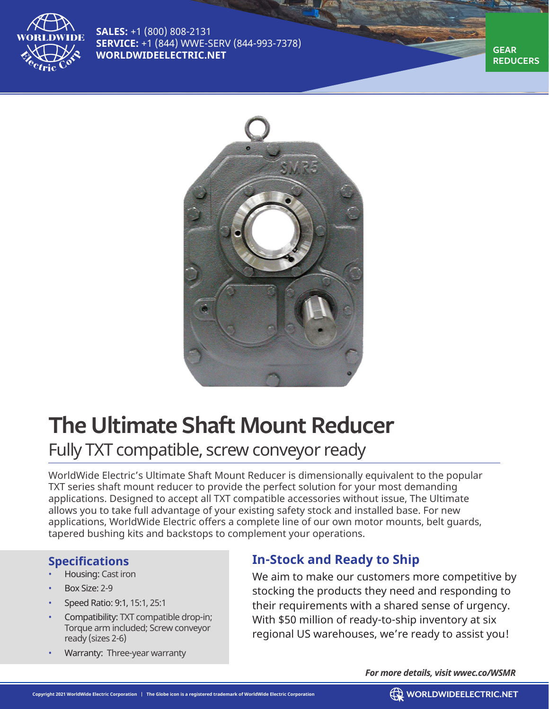

**SALES:** +1 (800) 808-2131 **SERVICE:** +1 (844) WWE-SERV (844-993-7378) **WORLDWIDEELECTRIC.NET** 

**REDUCERS**



# **The Ultimate Shaft Mount Reducer** Fully TXT compatible, screw conveyor ready

WorldWide Electric's Ultimate Shaft Mount Reducer is dimensionally equivalent to the popular TXT series shaft mount reducer to provide the perfect solution for your most demanding applications. Designed to accept all TXT compatible accessories without issue, The Ultimate allows you to take full advantage of your existing safety stock and installed base. For new applications, WorldWide Electric offers a complete line of our own motor mounts, belt guards, tapered bushing kits and backstops to complement your operations.

#### **Specifications**

- Housing: Cast iron
- Box Size: 2-9
- Speed Ratio: 9:1, 15:1, 25:1
- Compatibility: TXT compatible drop-in; Torque arm included; Screw conveyor ready (sizes 2-6)
- Warranty: Three-year warranty

## **In-Stock and Ready to Ship**

We aim to make our customers more competitive by stocking the products they need and responding to their requirements with a shared sense of urgency. With \$50 million of ready-to-ship inventory at six regional US warehouses, we're ready to assist you!

*For more details, visit wwec.co/WSMR*